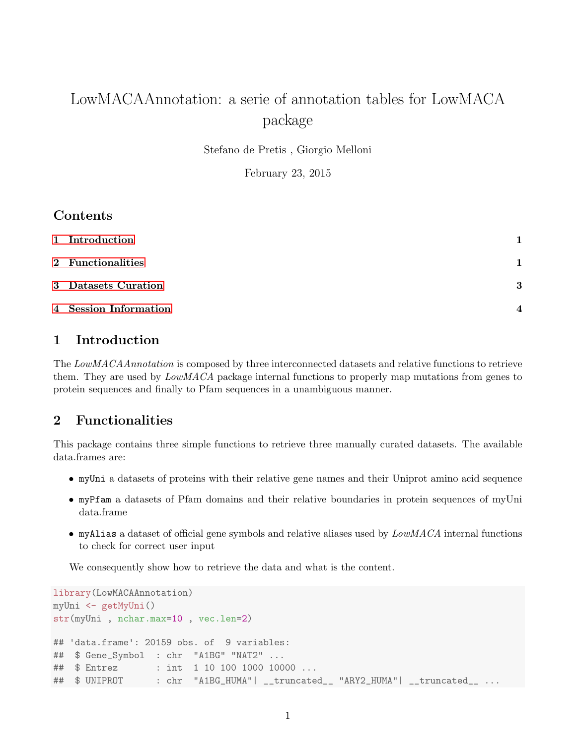# LowMACAAnnotation: a serie of annotation tables for LowMACA package

Stefano de Pretis , Giorgio Melloni

February 23, 2015

## Contents

| 1 Introduction        |                        |
|-----------------------|------------------------|
| 2 Functionalities     |                        |
| 3 Datasets Curation   | 3                      |
| 4 Session Information | $\boldsymbol{\Lambda}$ |

## <span id="page-0-0"></span>1 Introduction

The LowMACAAnnotation is composed by three interconnected datasets and relative functions to retrieve them. They are used by LowMACA package internal functions to properly map mutations from genes to protein sequences and finally to Pfam sequences in a unambiguous manner.

## <span id="page-0-1"></span>2 Functionalities

This package contains three simple functions to retrieve three manually curated datasets. The available data.frames are:

- myUni a datasets of proteins with their relative gene names and their Uniprot amino acid sequence
- myPfam a datasets of Pfam domains and their relative boundaries in protein sequences of myUni data.frame
- myAlias a dataset of official gene symbols and relative aliases used by  $LowMACA$  internal functions to check for correct user input

We consequently show how to retrieve the data and what is the content.

```
library(LowMACAAnnotation)
myUni <- getMyUni()
str(myUni , nchar.max=10 , vec.len=2)
## 'data.frame': 20159 obs. of 9 variables:
## $ Gene_Symbol : chr "A1BG" "NAT2" ...
## $ Entrez : int 1 10 100 1000 10000 ...
## $ UNIPROT : chr "A1BG_HUMA"| __truncated__ "ARY2_HUMA"| __truncated__ ...
```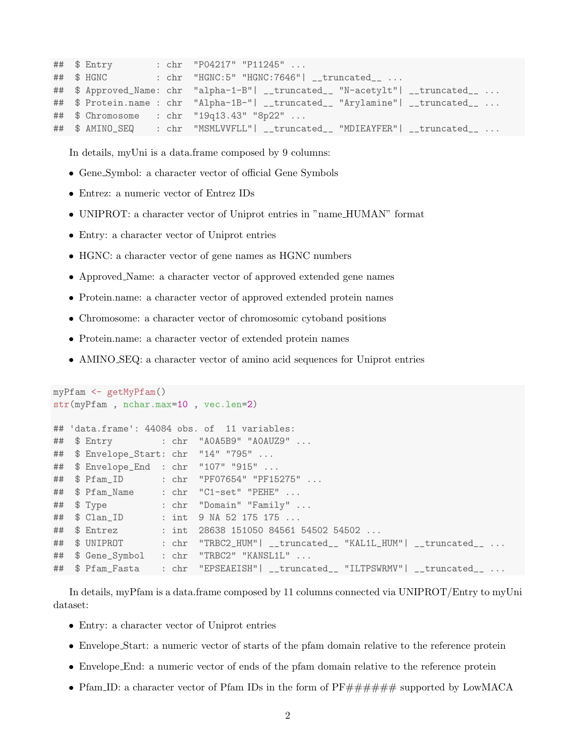```
## $ Entry : chr "P04217" "P11245" ...
## $ HGNC : chr "HGNC:5" "HGNC:7646"| __truncated__ ...
## $ Approved_Name: chr "alpha-1-B"| __truncated__ "N-acetylt"| __truncated__ ...
## $ Protein.name : chr "Alpha-1B-"| __truncated__ "Arylamine"| __truncated__ ...
## $ Chromosome : chr "19q13.43" "8p22" ...
## $ AMINO_SEQ : chr "MSMLVVFLL"| __truncated__ "MDIEAYFER"| __truncated__ ...
```
In details, myUni is a data.frame composed by 9 columns:

- Gene Symbol: a character vector of official Gene Symbols
- Entrez: a numeric vector of Entrez IDs
- UNIPROT: a character vector of Uniprot entries in "name HUMAN" format
- Entry: a character vector of Uniprot entries
- HGNC: a character vector of gene names as HGNC numbers
- Approved\_Name: a character vector of approved extended gene names
- Protein.name: a character vector of approved extended protein names
- Chromosome: a character vector of chromosomic cytoband positions
- Protein.name: a character vector of extended protein names
- AMINO SEQ: a character vector of amino acid sequences for Uniprot entries

```
myPfam <- getMyPfam()
str(myPfam , nchar.max=10 , vec.len=2)
## 'data.frame': 44084 obs. of 11 variables:
## $ Entry : chr "A0A5B9" "A0AUZ9" ...
## $ Envelope_Start: chr "14" "795" ...
## $ Envelope_End : chr "107" "915" ...
## $ Pfam_ID : chr "PF07654" "PF15275" ...
## $ Pfam_Name : chr "C1-set" "PEHE" ...
## $ Type : chr "Domain" "Family" ...
## $ Clan_ID : int 9 NA 52 175 175 ...
## $ Entrez : int 28638 151050 84561 54502 54502 ...
## $ UNIPROT : chr "TRBC2_HUM"| __truncated__ "KAL1L_HUM"| __truncated__ ...
## $ Gene_Symbol : chr "TRBC2" "KANSL1L" ...
## $ Pfam_Fasta : chr "EPSEAEISH"| __truncated__ "ILTPSWRMV"| __truncated__ ...
```
In details, myPfam is a data.frame composed by 11 columns connected via UNIPROT/Entry to myUni dataset:

- Entry: a character vector of Uniprot entries
- Envelope Start: a numeric vector of starts of the pfam domain relative to the reference protein
- Envelope End: a numeric vector of ends of the pfam domain relative to the reference protein
- Pfam ID: a character vector of Pfam IDs in the form of  $PF\# \# \# \# \# \#$  supported by LowMACA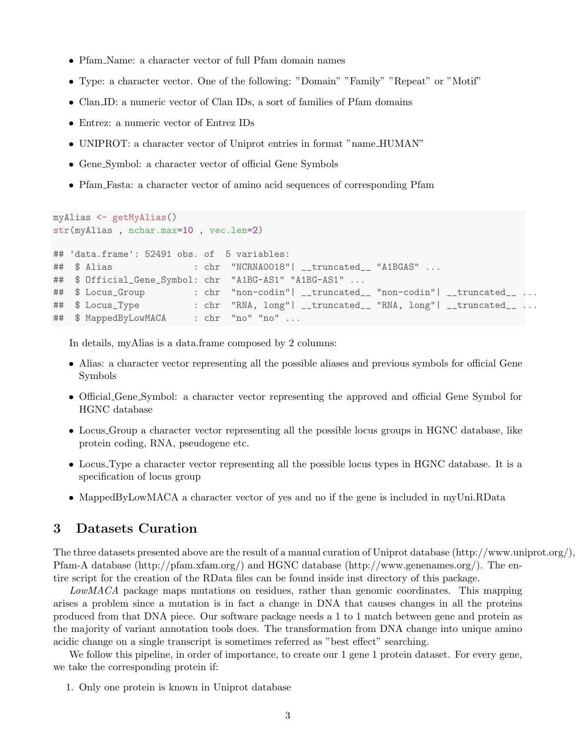- Pfam Name: a character vector of full Pfam domain names
- Type: a character vector. One of the following: "Domain" "Family" "Repeat" or "Motif"
- Clan ID: a numeric vector of Clan IDs, a sort of families of Pfam domains
- Entrez: a numeric vector of Entrez IDs
- UNIPROT: a character vector of Uniprot entries in format "name HUMAN"
- Gene Symbol: a character vector of official Gene Symbols
- Pfam Fasta: a character vector of amino acid sequences of corresponding Pfam

```
myAlias <- getMyAlias()
str(myAlias , nchar.max=10 , vec.len=2)
## 'data.frame': 52491 obs. of 5 variables:
## $ Alias : chr "NCRNA0018"| __truncated__ "A1BGAS" ...
## $ Official_Gene_Symbol: chr "A1BG-AS1" "A1BG-AS1" ...
## $ Locus_Group : chr "non-codin"| __truncated__ "non-codin"| __truncated__ ...
## $ Locus_Type : chr "RNA, long"| __truncated__ "RNA, long"| __truncated__ ...
## $ MappedByLowMACA : chr "no" "no" ...
```
In details, myAlias is a data.frame composed by 2 columns:

- Alias: a character vector representing all the possible aliases and previous symbols for official Gene Symbols
- Official Gene Symbol: a character vector representing the approved and official Gene Symbol for HGNC database
- Locus Group a character vector representing all the possible locus groups in HGNC database, like protein coding, RNA, pseudogene etc.
- Locus Type a character vector representing all the possible locus types in HGNC database. It is a specification of locus group
- MappedByLowMACA a character vector of yes and no if the gene is included in myUni.RData

## <span id="page-2-0"></span>3 Datasets Curation

The three datasets presented above are the result of a manual curation of Uniprot database (http://www.uniprot.org/), Pfam-A database (http://pfam.xfam.org/) and HGNC database (http://www.genenames.org/). The entire script for the creation of the RData files can be found inside inst directory of this package.

LowMACA package maps mutations on residues, rather than genomic coordinates. This mapping arises a problem since a mutation is in fact a change in DNA that causes changes in all the proteins produced from that DNA piece. Our software package needs a 1 to 1 match between gene and protein as the majority of variant annotation tools does. The transformation from DNA change into unique amino acidic change on a single transcript is sometimes referred as "best effect" searching.

We follow this pipeline, in order of importance, to create our 1 gene 1 protein dataset. For every gene, we take the corresponding protein if:

1. Only one protein is known in Uniprot database